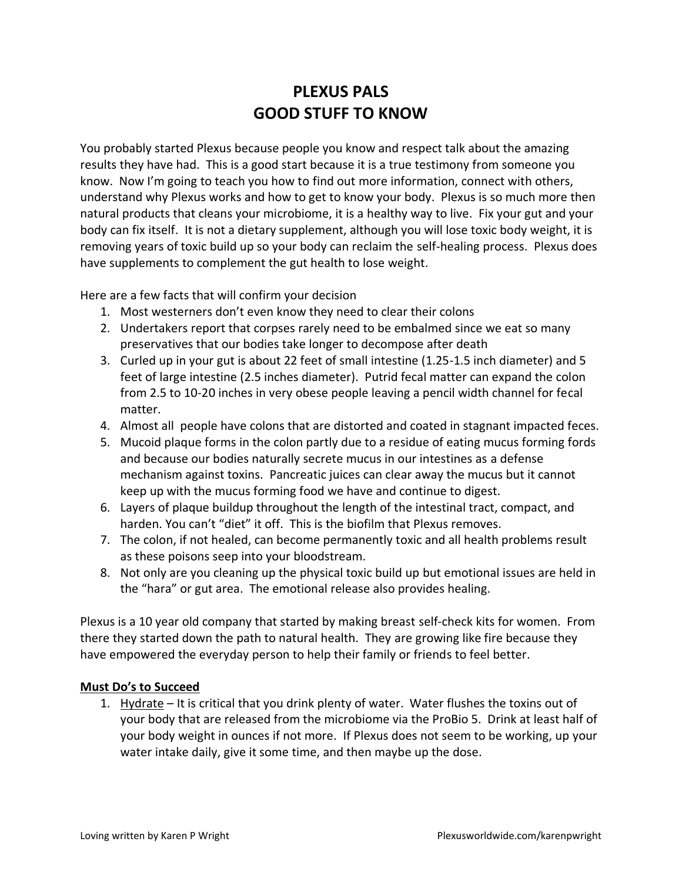# **PLEXUS PALS GOOD STUFF TO KNOW**

You probably started Plexus because people you know and respect talk about the amazing results they have had. This is a good start because it is a true testimony from someone you know. Now I'm going to teach you how to find out more information, connect with others, understand why Plexus works and how to get to know your body. Plexus is so much more then natural products that cleans your microbiome, it is a healthy way to live. Fix your gut and your body can fix itself. It is not a dietary supplement, although you will lose toxic body weight, it is removing years of toxic build up so your body can reclaim the self-healing process. Plexus does have supplements to complement the gut health to lose weight.

Here are a few facts that will confirm your decision

- 1. Most westerners don't even know they need to clear their colons
- 2. Undertakers report that corpses rarely need to be embalmed since we eat so many preservatives that our bodies take longer to decompose after death
- 3. Curled up in your gut is about 22 feet of small intestine (1.25-1.5 inch diameter) and 5 feet of large intestine (2.5 inches diameter). Putrid fecal matter can expand the colon from 2.5 to 10-20 inches in very obese people leaving a pencil width channel for fecal matter.
- 4. Almost all people have colons that are distorted and coated in stagnant impacted feces.
- 5. Mucoid plaque forms in the colon partly due to a residue of eating mucus forming fords and because our bodies naturally secrete mucus in our intestines as a defense mechanism against toxins. Pancreatic juices can clear away the mucus but it cannot keep up with the mucus forming food we have and continue to digest.
- 6. Layers of plaque buildup throughout the length of the intestinal tract, compact, and harden. You can't "diet" it off. This is the biofilm that Plexus removes.
- 7. The colon, if not healed, can become permanently toxic and all health problems result as these poisons seep into your bloodstream.
- 8. Not only are you cleaning up the physical toxic build up but emotional issues are held in the "hara" or gut area. The emotional release also provides healing.

Plexus is a 10 year old company that started by making breast self-check kits for women. From there they started down the path to natural health. They are growing like fire because they have empowered the everyday person to help their family or friends to feel better.

#### **Must Do's to Succeed**

1. Hydrate – It is critical that you drink plenty of water. Water flushes the toxins out of your body that are released from the microbiome via the ProBio 5. Drink at least half of your body weight in ounces if not more. If Plexus does not seem to be working, up your water intake daily, give it some time, and then maybe up the dose.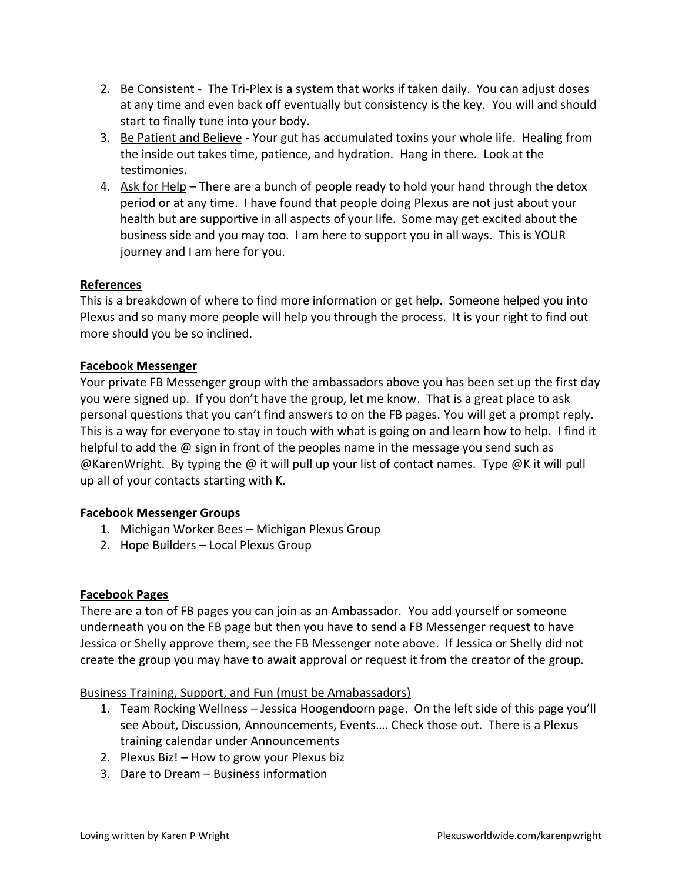- 2. Be Consistent The Tri-Plex is a system that works if taken daily. You can adjust doses at any time and even back off eventually but consistency is the key. You will and should start to finally tune into your body.
- 3. Be Patient and Believe Your gut has accumulated toxins your whole life. Healing from the inside out takes time, patience, and hydration. Hang in there. Look at the testimonies.
- 4. Ask for Help There are a bunch of people ready to hold your hand through the detox period or at any time. I have found that people doing Plexus are not just about your health but are supportive in all aspects of your life. Some may get excited about the business side and you may too. I am here to support you in all ways. This is YOUR journey and I am here for you.

# **References**

This is a breakdown of where to find more information or get help. Someone helped you into Plexus and so many more people will help you through the process. It is your right to find out more should you be so inclined.

# **Facebook Messenger**

Your private FB Messenger group with the ambassadors above you has been set up the first day you were signed up. If you don't have the group, let me know. That is a great place to ask personal questions that you can't find answers to on the FB pages. You will get a prompt reply. This is a way for everyone to stay in touch with what is going on and learn how to help. I find it helpful to add the @ sign in front of the peoples name in the message you send such as @KarenWright. By typing the @ it will pull up your list of contact names. Type @K it will pull up all of your contacts starting with K.

# **Facebook Messenger Groups**

- 1. Michigan Worker Bees Michigan Plexus Group
- 2. Hope Builders Local Plexus Group

# **Facebook Pages**

There are a ton of FB pages you can join as an Ambassador. You add yourself or someone underneath you on the FB page but then you have to send a FB Messenger request to have Jessica or Shelly approve them, see the FB Messenger note above. If Jessica or Shelly did not create the group you may have to await approval or request it from the creator of the group.

#### Business Training, Support, and Fun (must be Amabassadors)

- 1. Team Rocking Wellness Jessica Hoogendoorn page. On the left side of this page you'll see About, Discussion, Announcements, Events…. Check those out. There is a Plexus training calendar under Announcements
- 2. Plexus Biz! How to grow your Plexus biz
- 3. Dare to Dream Business information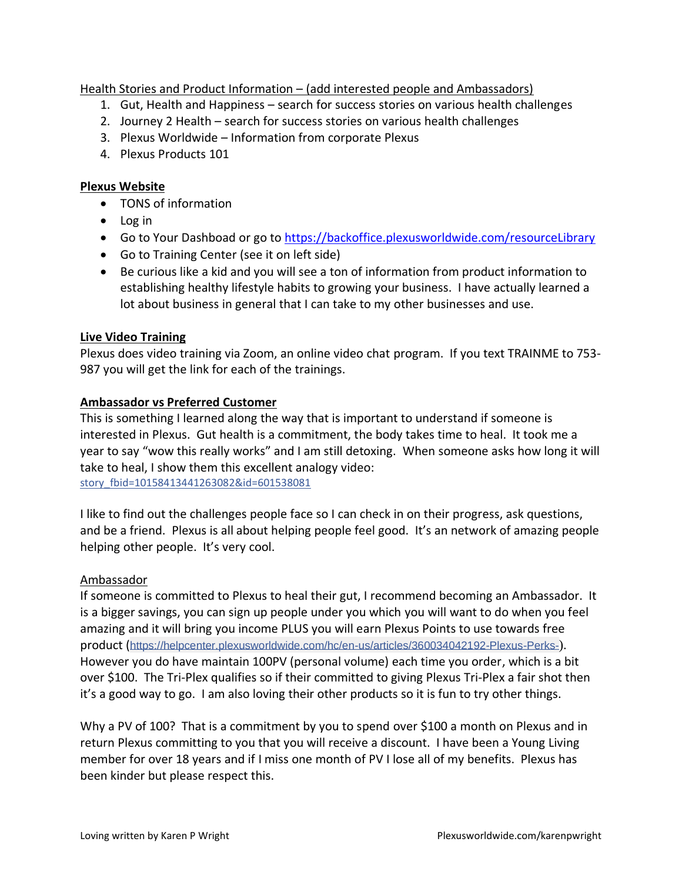Health Stories and Product Information – (add interested people and Ambassadors)

- 1. Gut, Health and Happiness search for success stories on various health challenges
- 2. Journey 2 Health search for success stories on various health challenges
- 3. Plexus Worldwide Information from corporate Plexus
- 4. Plexus Products 101

# **Plexus Website**

- TONS of information
- Log in
- Go to Your Dashboad or go to<https://backoffice.plexusworldwide.com/resourceLibrary>
- Go to Training Center (see it on left side)
- Be curious like a kid and you will see a ton of information from product information to establishing healthy lifestyle habits to growing your business. I have actually learned a lot about business in general that I can take to my other businesses and use.

# **Live Video Training**

Plexus does video training via Zoom, an online video chat program. If you text TRAINME to 753- 987 you will get the link for each of the trainings.

# **Ambassador vs Preferred Customer**

This is something I learned along the way that is important to understand if someone is interested in Plexus. Gut health is a commitment, the body takes time to heal. It took me a year to say "wow this really works" and I am still detoxing. When someone asks how long it will take to heal, I show them this excellent analogy video: [story\\_fbid=10158413441263082&id=601538081](https://www.facebook.com/jessica.hoogendoorn.12/videos/10158413441263082/)

I like to find out the challenges people face so I can check in on their progress, ask questions, and be a friend. Plexus is all about helping people feel good. It's an network of amazing people helping other people. It's very cool.

#### Ambassador

If someone is committed to Plexus to heal their gut, I recommend becoming an Ambassador. It is a bigger savings, you can sign up people under you which you will want to do when you feel amazing and it will bring you income PLUS you will earn Plexus Points to use towards free product ([https://helpcenter.plexusworldwide.com/hc/en-us/articles/360034042192-Plexus-Perks-](https://helpcenter.plexusworldwide.com/hc/en-us/articles/360034042192-Plexus-Perks-?fbclid=IwAR0duTvVCmBgrv5dMtcpx2P1yfDTLWknvV0_nkfHeLf7EbRCKWoNWoPqNdI)). However you do have maintain 100PV (personal volume) each time you order, which is a bit over \$100. The Tri-Plex qualifies so if their committed to giving Plexus Tri-Plex a fair shot then it's a good way to go. I am also loving their other products so it is fun to try other things.

Why a PV of 100? That is a commitment by you to spend over \$100 a month on Plexus and in return Plexus committing to you that you will receive a discount. I have been a Young Living member for over 18 years and if I miss one month of PV I lose all of my benefits. Plexus has been kinder but please respect this.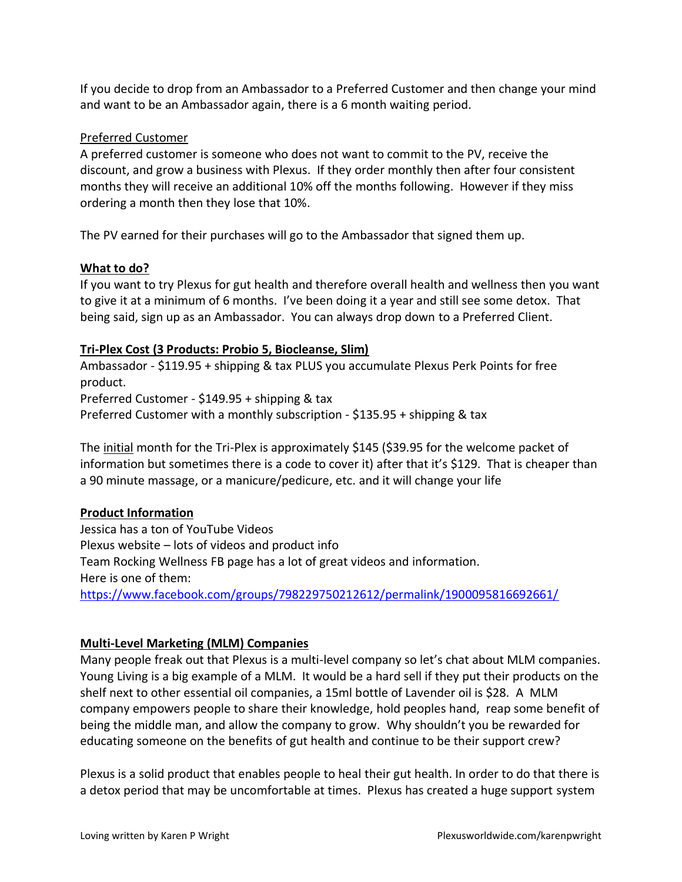If you decide to drop from an Ambassador to a Preferred Customer and then change your mind and want to be an Ambassador again, there is a 6 month waiting period.

# Preferred Customer

A preferred customer is someone who does not want to commit to the PV, receive the discount, and grow a business with Plexus. If they order monthly then after four consistent months they will receive an additional 10% off the months following. However if they miss ordering a month then they lose that 10%.

The PV earned for their purchases will go to the Ambassador that signed them up.

# **What to do?**

If you want to try Plexus for gut health and therefore overall health and wellness then you want to give it at a minimum of 6 months. I've been doing it a year and still see some detox. That being said, sign up as an Ambassador. You can always drop down to a Preferred Client.

# **Tri-Plex Cost (3 Products: Probio 5, Biocleanse, Slim)**

Ambassador - \$119.95 + shipping & tax PLUS you accumulate Plexus Perk Points for free product. Preferred Customer - \$149.95 + shipping & tax Preferred Customer with a monthly subscription - \$135.95 + shipping & tax

The initial month for the Tri-Plex is approximately \$145 (\$39.95 for the welcome packet of information but sometimes there is a code to cover it) after that it's \$129. That is cheaper than a 90 minute massage, or a manicure/pedicure, etc. and it will change your life

# **Product Information**

Jessica has a ton of YouTube Videos Plexus website – lots of videos and product info Team Rocking Wellness FB page has a lot of great videos and information. Here is one of them: <https://www.facebook.com/groups/798229750212612/permalink/1900095816692661/>

# **Multi-Level Marketing (MLM) Companies**

Many people freak out that Plexus is a multi-level company so let's chat about MLM companies. Young Living is a big example of a MLM. It would be a hard sell if they put their products on the shelf next to other essential oil companies, a 15ml bottle of Lavender oil is \$28. A MLM company empowers people to share their knowledge, hold peoples hand, reap some benefit of being the middle man, and allow the company to grow. Why shouldn't you be rewarded for educating someone on the benefits of gut health and continue to be their support crew?

Plexus is a solid product that enables people to heal their gut health. In order to do that there is a detox period that may be uncomfortable at times. Plexus has created a huge support system